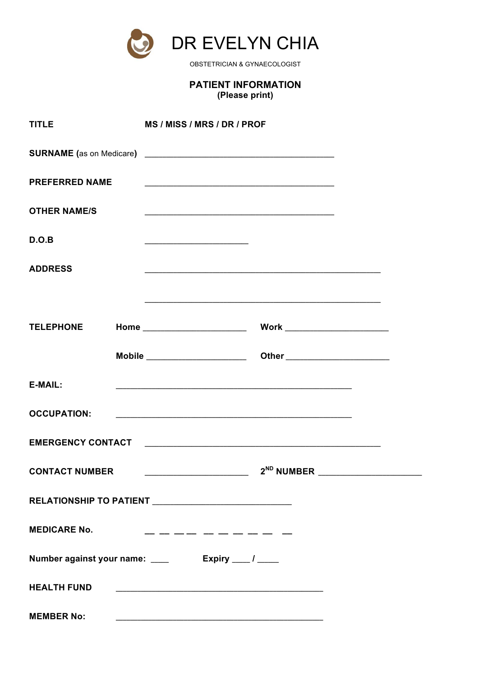

OBSTETRICIAN & GYNAECOLOGIST

# **PATIENT INFORMATION** (Please print)

| <b>TITLE</b>          | MS / MISS / MRS / DR / PROF                                                                                                                                                                                                   |                                         |  |
|-----------------------|-------------------------------------------------------------------------------------------------------------------------------------------------------------------------------------------------------------------------------|-----------------------------------------|--|
|                       |                                                                                                                                                                                                                               |                                         |  |
| <b>PREFERRED NAME</b> |                                                                                                                                                                                                                               |                                         |  |
| <b>OTHER NAME/S</b>   |                                                                                                                                                                                                                               |                                         |  |
| D.O.B                 |                                                                                                                                                                                                                               |                                         |  |
| <b>ADDRESS</b>        |                                                                                                                                                                                                                               |                                         |  |
|                       | the control of the control of the control of the control of the control of the control of the control of the control of the control of the control of the control of the control of the control of the control of the control |                                         |  |
| <b>TELEPHONE</b>      |                                                                                                                                                                                                                               |                                         |  |
|                       |                                                                                                                                                                                                                               |                                         |  |
| E-MAIL:               |                                                                                                                                                                                                                               |                                         |  |
| <b>OCCUPATION:</b>    |                                                                                                                                                                                                                               |                                         |  |
|                       |                                                                                                                                                                                                                               |                                         |  |
| <b>CONTACT NUMBER</b> |                                                                                                                                                                                                                               | 2 <sup>ND</sup> NUMBER ________________ |  |
|                       |                                                                                                                                                                                                                               |                                         |  |
| <b>MEDICARE No.</b>   | __________                                                                                                                                                                                                                    |                                         |  |
|                       |                                                                                                                                                                                                                               |                                         |  |
| <b>HEALTH FUND</b>    |                                                                                                                                                                                                                               |                                         |  |
| <b>MEMBER No:</b>     |                                                                                                                                                                                                                               |                                         |  |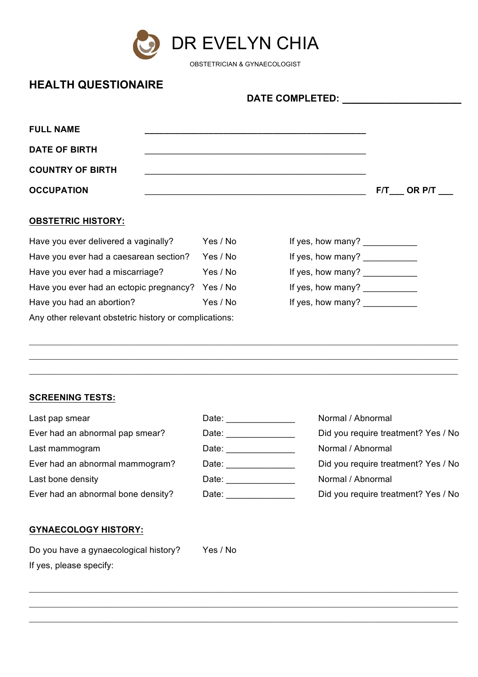

OBSTETRICIAN & GYNAECOLOGIST

**DATE COMPLETED: \_\_\_\_\_\_\_\_\_\_\_\_\_\_\_\_\_\_\_**

# **HEALTH QUESTIONAIRE**

| <b>FULL NAME</b>        |              |
|-------------------------|--------------|
| <b>DATE OF BIRTH</b>    |              |
| <b>COUNTRY OF BIRTH</b> |              |
| <b>OCCUPATION</b>       | $F/T$ OR P/T |

## **OBSTETRIC HISTORY:**

| Have you ever delivered a vaginally?                   | Yes / No | If yes, how many? $\sqrt{2}$    |  |
|--------------------------------------------------------|----------|---------------------------------|--|
| Have you ever had a caesarean section?                 | Yes / No | If yes, how many?               |  |
| Have you ever had a miscarriage?                       | Yes / No | If yes, how many?               |  |
| Have you ever had an ectopic pregnancy? Yes / No       |          | If yes, how many? $\frac{1}{2}$ |  |
| Have you had an abortion?                              | Yes / No | If yes, how many?               |  |
| Any other relevant obstetric history or complications: |          |                                 |  |

## **SCREENING TESTS:**

| Last pap smear                     | Date: and the part of the set of the set of the set of the set of the set of the set of the set of the set of the set of the set of the set of the set of the set of the set of the set of the set of the set of the set of th | Normal / Abnormal                   |
|------------------------------------|--------------------------------------------------------------------------------------------------------------------------------------------------------------------------------------------------------------------------------|-------------------------------------|
| Ever had an abnormal pap smear?    | Date: the contract of the contract of the contract of the contract of the contract of the contract of the contract of the contract of the contract of the contract of the contract of the contract of the contract of the cont | Did you require treatment? Yes / No |
| Last mammogram                     |                                                                                                                                                                                                                                | Normal / Abnormal                   |
| Ever had an abnormal mammogram?    | Date: the contract of the contract of the contract of the contract of the contract of the contract of the contract of the contract of the contract of the contract of the contract of the contract of the contract of the cont | Did you require treatment? Yes / No |
| Last bone density                  | Date: and the state of the state of the state of the state of the state of the state of the state of the state of the state of the state of the state of the state of the state of the state of the state of the state of the  | Normal / Abnormal                   |
| Ever had an abnormal bone density? | Date:                                                                                                                                                                                                                          | Did you require treatment? Yes / No |
|                                    |                                                                                                                                                                                                                                |                                     |

 $\_$  , and the set of the set of the set of the set of the set of the set of the set of the set of the set of the set of the set of the set of the set of the set of the set of the set of the set of the set of the set of th \_\_\_\_\_\_\_\_\_\_\_\_\_\_\_\_\_\_\_\_\_\_\_\_\_\_\_\_\_\_\_\_\_\_\_\_\_\_\_\_\_\_\_\_\_\_\_\_\_\_\_\_\_\_\_\_\_\_\_\_\_\_\_\_\_\_\_\_\_\_\_\_\_\_\_\_\_\_\_\_\_\_\_\_\_\_\_\_\_\_\_\_\_\_\_\_\_\_\_\_\_\_\_\_\_\_\_\_\_\_\_\_\_\_\_\_\_\_\_\_  $\_$  , and the set of the set of the set of the set of the set of the set of the set of the set of the set of the set of the set of the set of the set of the set of the set of the set of the set of the set of the set of th

 $\_$  , and the state of the state of the state of the state of the state of the state of the state of the state of the state of the state of the state of the state of the state of the state of the state of the state of the \_\_\_\_\_\_\_\_\_\_\_\_\_\_\_\_\_\_\_\_\_\_\_\_\_\_\_\_\_\_\_\_\_\_\_\_\_\_\_\_\_\_\_\_\_\_\_\_\_\_\_\_\_\_\_\_\_\_\_\_\_\_\_\_\_\_\_\_\_\_\_\_\_\_\_\_\_\_\_\_\_\_\_\_\_\_\_\_\_\_\_\_\_\_\_\_\_\_\_\_\_\_\_\_\_\_\_\_\_\_\_\_\_\_\_\_\_\_\_\_  $\_$  , and the state of the state of the state of the state of the state of the state of the state of the state of the state of the state of the state of the state of the state of the state of the state of the state of the

## **GYNAECOLOGY HISTORY:**

Do you have a gynaecological history? Yes / No If yes, please specify: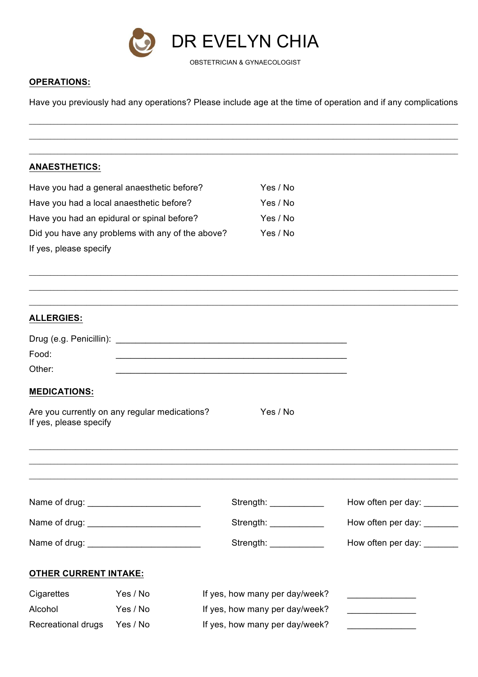

#### **OPERATIONS:**

Have you previously had any operations? Please include age at the time of operation and if any complications

 $\_$  , and the state of the state of the state of the state of the state of the state of the state of the state of the state of the state of the state of the state of the state of the state of the state of the state of the \_\_\_\_\_\_\_\_\_\_\_\_\_\_\_\_\_\_\_\_\_\_\_\_\_\_\_\_\_\_\_\_\_\_\_\_\_\_\_\_\_\_\_\_\_\_\_\_\_\_\_\_\_\_\_\_\_\_\_\_\_\_\_\_\_\_\_\_\_\_\_\_\_\_\_\_\_\_\_\_\_\_\_\_\_\_\_\_\_\_\_\_\_\_\_\_\_\_\_\_\_\_\_\_\_\_\_\_\_\_\_\_\_\_\_\_\_\_\_\_ \_\_\_\_\_\_\_\_\_\_\_\_\_\_\_\_\_\_\_\_\_\_\_\_\_\_\_\_\_\_\_\_\_\_\_\_\_\_\_\_\_\_\_\_\_\_\_\_\_\_\_\_\_\_\_\_\_\_\_\_\_\_\_\_\_\_\_\_\_\_\_\_\_\_\_\_\_\_\_\_\_\_\_\_\_\_\_\_\_\_\_\_\_\_\_\_\_\_\_\_\_\_\_\_\_\_\_\_\_\_\_\_\_\_\_\_\_\_\_\_

 $\_$  , and the state of the state of the state of the state of the state of the state of the state of the state of the state of the state of the state of the state of the state of the state of the state of the state of the \_\_\_\_\_\_\_\_\_\_\_\_\_\_\_\_\_\_\_\_\_\_\_\_\_\_\_\_\_\_\_\_\_\_\_\_\_\_\_\_\_\_\_\_\_\_\_\_\_\_\_\_\_\_\_\_\_\_\_\_\_\_\_\_\_\_\_\_\_\_\_\_\_\_\_\_\_\_\_\_\_\_\_\_\_\_\_\_\_\_\_\_\_\_\_\_\_\_\_\_\_\_\_\_\_\_\_\_\_\_\_\_\_\_\_\_\_\_\_\_

## **ANAESTHETICS:**

| Have you had a general anaesthetic before?       | Yes / No |
|--------------------------------------------------|----------|
| Have you had a local anaesthetic before?         | Yes / No |
| Have you had an epidural or spinal before?       | Yes / No |
| Did you have any problems with any of the above? | Yes / No |
| If yes, please specify                           |          |

| <b>ALLERGIES:</b>                                                                                                                                                                                                              |          |                                                                                                                        |                            |
|--------------------------------------------------------------------------------------------------------------------------------------------------------------------------------------------------------------------------------|----------|------------------------------------------------------------------------------------------------------------------------|----------------------------|
|                                                                                                                                                                                                                                |          |                                                                                                                        |                            |
| Food:                                                                                                                                                                                                                          |          | <u> 1989 - Johann John Stoff, deutscher Stoffen und der Stoffen und der Stoffen und der Stoffen und der Stoffen un</u> |                            |
| Other:                                                                                                                                                                                                                         |          |                                                                                                                        |                            |
| <b>MEDICATIONS:</b>                                                                                                                                                                                                            |          |                                                                                                                        |                            |
| Are you currently on any regular medications?<br>If yes, please specify                                                                                                                                                        |          |                                                                                                                        |                            |
|                                                                                                                                                                                                                                |          |                                                                                                                        |                            |
|                                                                                                                                                                                                                                |          |                                                                                                                        |                            |
|                                                                                                                                                                                                                                |          |                                                                                                                        |                            |
|                                                                                                                                                                                                                                |          | Strength: ____________                                                                                                 | How often per day: _______ |
| Name of drug: Name of drug and the state of the state of the state of the state of the state of the state of the state of the state of the state of the state of the state of the state of the state of the state of the state |          | Strength: _____________                                                                                                | How often per day:         |
|                                                                                                                                                                                                                                |          | Strength: _____________                                                                                                | How often per day: _______ |
| <b>OTHER CURRENT INTAKE:</b>                                                                                                                                                                                                   |          |                                                                                                                        |                            |
| Cigarettes                                                                                                                                                                                                                     | Yes / No | If yes, how many per day/week?                                                                                         |                            |
| Alcohol                                                                                                                                                                                                                        | Yes / No | If yes, how many per day/week?                                                                                         |                            |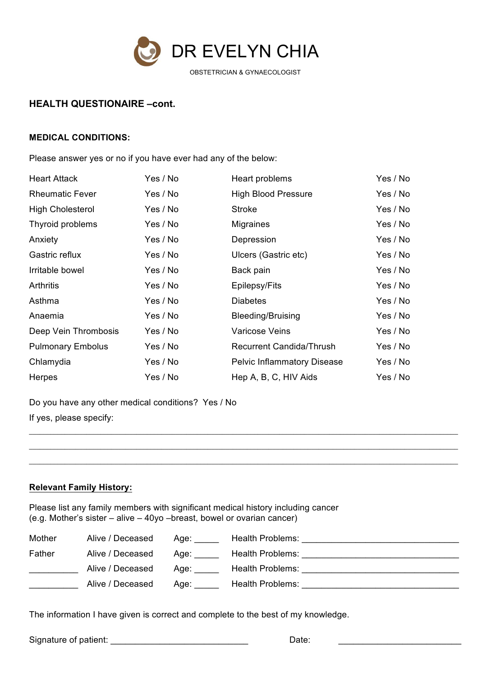

## **HEALTH QUESTIONAIRE -cont.**

#### **MEDICAL CONDITIONS:**

Please answer yes or no if you have ever had any of the below:

| <b>Heart Attack</b>      | Yes / No | Heart problems                     | Yes / No |
|--------------------------|----------|------------------------------------|----------|
| <b>Rheumatic Fever</b>   | Yes / No | <b>High Blood Pressure</b>         | Yes / No |
| <b>High Cholesterol</b>  | Yes / No | <b>Stroke</b>                      | Yes / No |
| Thyroid problems         | Yes / No | <b>Migraines</b>                   | Yes / No |
| Anxiety                  | Yes / No | Depression                         | Yes / No |
| Gastric reflux           | Yes / No | Ulcers (Gastric etc)               | Yes / No |
| Irritable bowel          | Yes / No | Back pain                          | Yes / No |
| <b>Arthritis</b>         | Yes / No | Epilepsy/Fits                      | Yes / No |
| Asthma                   | Yes / No | <b>Diabetes</b>                    | Yes / No |
| Anaemia                  | Yes / No | <b>Bleeding/Bruising</b>           | Yes / No |
| Deep Vein Thrombosis     | Yes / No | <b>Varicose Veins</b>              | Yes / No |
| <b>Pulmonary Embolus</b> | Yes / No | <b>Recurrent Candida/Thrush</b>    | Yes / No |
| Chlamydia                | Yes / No | <b>Pelvic Inflammatory Disease</b> | Yes / No |
| Herpes                   | Yes / No | Hep A, B, C, HIV Aids              | Yes / No |

Do you have any other medical conditions? Yes / No If yes, please specify:

#### **Relevant Family History:**

Please list any family members with significant medical history including cancer (e.g. Mother's sister  $-$  alive  $-$  40yo  $-$ breast, bowel or ovarian cancer)

| Mother | Alive / Deceased | Aqe: | Health Problems: |
|--------|------------------|------|------------------|
| Father | Alive / Deceased | Aqe: | Health Problems: |
|        | Alive / Deceased | Aqe: | Health Problems: |
|        | Alive / Deceased | Aae: | Health Problems: |

The information I have given is correct and complete to the best of my knowledge.